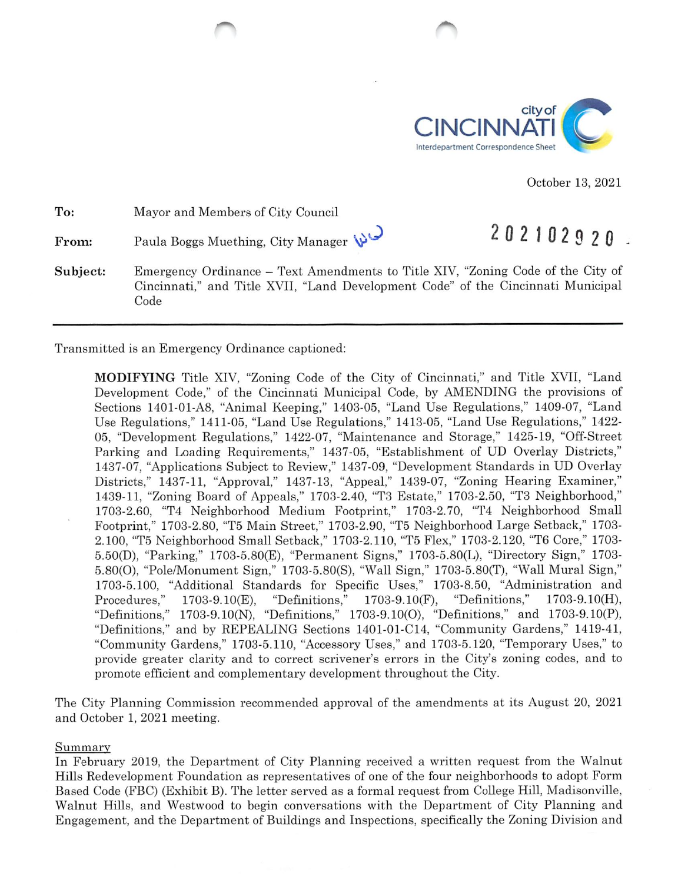

October 13, 2021

| To: | Mayor and Members of City Council |
|-----|-----------------------------------|
|-----|-----------------------------------|

From: Paula Boggs Muething, City Manager 202102920

Subject: Emergency Ordinance - Text Amendments to Title XIV, "Zoning Code of the City of Cincinnati," and Title XVII, "Land Development Code" of the Cincinnati Municipal Code

Transmitted is an Emergency Ordinance captioned:

MODIFYING Title XIV, "Zoning Code of the City of Cincinnati," and Title XVII, "Land Development Code," of the Cincinnati Municipal Code, by AMENDING the provisions of Sections 1401-01-A8, "Animal Keeping," 1403-05, "Land Use Regulations," 1409-07, "Land Use Regulations," 1411-05, "Land Use Regulations," 1413-05, "Land Use Regulations," 1422- 05, "Development Regulations," 1422-07, "Maintenance and Storage," 1425-19, "Off-Street Parking and Loading Requirements," 1437-05, "Establishment of UD Overlay Districts," 1437-07, "Applications Subject to Review," 1437-09, "Development Standards in UD Overlay Districts," 1437-11, "Approval," 1437-13, "Appeal," 1439-07, "Zoning Hearing Examiner," 1439-11, "Zoning Board of Appeals," 1703-2.40, "T3 Estate," 1703-2.50, "T3 Neighborhood," 1703-2.60, "T4 Neighborhood Medium Footprint," 1703-2.70, "T4 Neighborhood Small Footprint," 1703-2.80, "T5 Main Street," 1703-2.90, "T5 Neighborhood Large Setback," 1703- 2.100, "T5 Neighborhood Small Setback," 1703-2.110, "T5 Flex," 1703-2.120, "T6 Core," 1703- 5.50(D), "Parking," 1703-5.80(E), "Permanent Signs," 1703-5.80(L), "Directory Sign," 1703- 5.80(0), "Pole/Monument Sign," 1703-5.80(8), "Wall Sign," 1703-5.80(T), "WaU Mural Sign," 1703-5.100, "Additional Standards for Specific Uses," 1703-8.50, "Administration and Procedures," 1703-9.10(E), "Definitions," 1703-9.10(H), 1703-9.10(E), "Definitions," 1703-9.10(F), "Definitions," 1703-9.10(H), "Definitions," 1703-9.10(N), "Definitions," 1703-9.10(0), "Definitions," and 1703-9.10(P), "Definitions," and by REPEALING Sections 1401-01-C14, "Community Gardens," 1419-41, "Community Gardens," 1703-5.110, "Accessory Uses," and 1703-5.120, "Temporary Uses," to provide greater clarity and to correct scrivener's errors in the City's zoning codes, and to promote efficient and complementary development throughout the City.

The City Planning Commission recommended approval of the amendments at its August 20, 2021 and October 1, 2021 meeting.

## Summarv

In February 2019, the Department of City Planning received a written request from the Walnut Hills Redevelopment Foundation as representatives of one of the four neighborhoods to adopt Form Based Code (FBC) (Exhibit B). The letter served as a formal request from College Hill, Madisonville, Walnut Hills, and Westwood to begin conversations with the Department of City Planning and Engagement, and the Department of Buildings and Inspections, specifically the Zoning Division and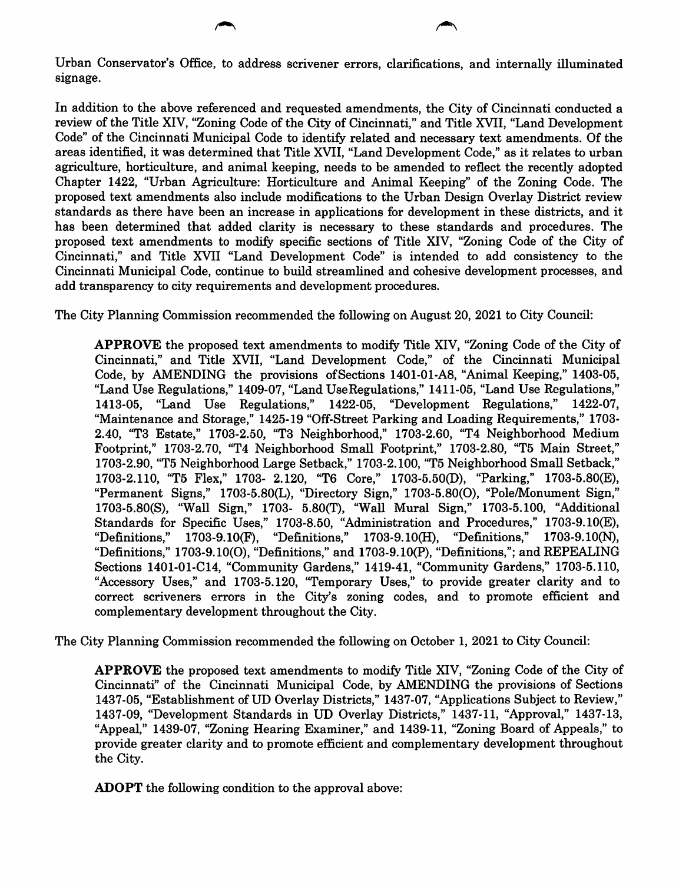Urban Conservator's Office, to address scrivener errors, clarifications, and internally illuminated signage.

In addition to the above referenced and requested amendments, the City of Cincinnati conducted a review of the Title XIV, "Zoning Code of the City of Cincinnati," and Title XVII, "Land Development Code" of the Cincinnati Municipal Code to identify related and necessary text amendments. Of the areas identified, it was determined that Title XVII, "Land Development Code," as it relates to urban agriculture, horticulture, and animal keeping, needs to be amended to reflect the recently adopted Chapter 1422, "Urban Agriculture: Horticulture and Animal Keeping" of the Zoning Code. The proposed text amendments also include modifications to the Urban Design Overlay District review standards as there have been an increase in applications for development in these districts, and it has been determined that added clarity is necessary to these standards and procedures. The proposed text amendments to modify specific sections of Title XIV, "Zoning Code of the City of Cincinnati," and Title XVII "Land Development Code" is intended to add consistency to the Cincinnati Municipal Code, continue to build streamhned and cohesive development processes, and add transparency to city requirements and development procedures.

The City Planning Commission recommended the following on August 20, 2021 to City Council:

APPROVE the proposed text amendments to modify Title XIV, "Zoning Code of the City of Cincinnati," and Title XVII, "Land Development Code," of the Cincinnati Municipal Code, by AMENDING the provisions ofSections 1401-01-A8, "Animal Keeping," 1403-05, "Land Use Regulations," 1409-07, "Land Use Regulations," 1411-05, "Land Use Regulations," 1413-05, "Land Use Regulations," 1422-05, "Development Regulations," 1422-07, "Maintenance and Storage," 1425-19 "Off-Street Parking and Loading Requirements," 1703- 2.40, "T3 Estate," 1703-2.50, "T3 Neighborhood," 1703-2.60, "T4 Neighborhood Medium Footprint," 1703-2.70, "T4 Neighborhood Small Footprint," 1703-2.80, "T5 Main Street," 1703-2.90, "T5 Neighborhood Large Setback," 1703-2.100, "T5 Neighborhood Small Setback," 1703-2.110, "T5 Flex," 1703- 2.120, "T6 Core," 1703-5.50(D), "Parking," 1703-5.80(E), "Permanent Signs," 1703-5.80(L), "Directory Sign," 1703-5.80(0), "Pole/Monument Sign," 1703-5.80(S), "WaU Sign," 1703- 5.80(T), "WaU Mural Sign," 1703-5.100, "Additional Standards for Specific Uses," 1703-8.50, "Administration and Procedures," 1703-9.10(E), "Definitions," 1703-9.10(N), "Definitions,"  $1703-9.10(H)$ , "Definitions," 1703-9.10(0), "Definitions," and 1703-9.10(P), "Definitions,"; and REPEALING Sections 1401-01-014, "Community Gardens," 1419-41, "Community Gardens," 1703-5.110, "Accessory Uses," and 1703-5.120, "Temporary Uses," to provide greater clarity and to correct scriveners errors in the City's zoning codes, and to promote efficient and complementary development throughout the City.

The City Planning Commission recommended the following on October 1, 2021 to City Council:

APPROVE the proposed text amendments to modify Title XIV, "Zoning Code of the City of Cincinnati" of the Cincinnati Municipal Code, by AMENDING the provisions of Sections 1437-05, "Establishment of UD Overlay Districts," 1437-07, "Applications Subject to Review," 1437-09, "Development Standards in UD Overlay Districts," 1437-11, "Approval," 1437-13, "Appeal," 1439-07, "Zoning Hearing Examiner," and 1439-11, "Zoning Board of Appeals," to provide greater clarity and to promote efficient and complementary development throughout the City.

ADOPT the following condition to the approval above: